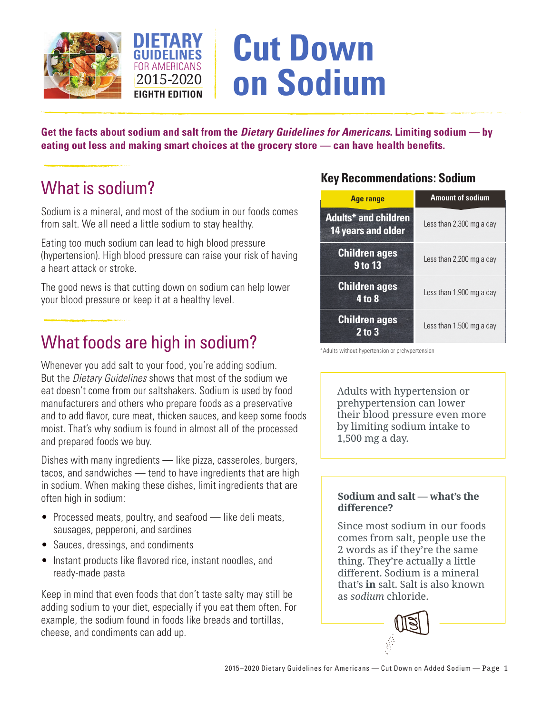



# **Cut Down on Sodium**

**Get the facts about sodium and salt from the** *Dietary Guidelines for Americans***. Limiting sodium — by eating out less and making smart choices at the grocery store — can have health benefits.** 

## What is sodium?

Sodium is a mineral, and most of the sodium in our foods comes from salt. We all need a little sodium to stay healthy.

Eating too much sodium can lead to high blood pressure (hypertension). High blood pressure can raise your risk of having a heart attack or stroke.

The good news is that cutting down on sodium can help lower your blood pressure or keep it at a healthy level.

## What foods are high in sodium?

Whenever you add salt to your food, you're adding sodium. But the *Dietary Guidelines* shows that most of the sodium we eat doesn't come from our saltshakers. Sodium is used by food manufacturers and others who prepare foods as a preservative and to add flavor, cure meat, thicken sauces, and keep some foods moist. That's why sodium is found in almost all of the processed and prepared foods we buy.

Dishes with many ingredients — like pizza, casseroles, burgers, tacos, and sandwiches — tend to have ingredients that are high in sodium. When making these dishes, limit ingredients that are often high in sodium:

- Processed meats, poultry, and seafood like deli meats, sausages, pepperoni, and sardines
- Sauces, dressings, and condiments
- Instant products like flavored rice, instant noodles, and ready-made pasta

Keep in mind that even foods that don't taste salty may still be adding sodium to your diet, especially if you eat them often. For example, the sodium found in foods like breads and tortillas, cheese, and condiments can add up.

### **Key Recommendations: Sodium**

| <b>Age range</b>                                  | <b>Amount of sodium</b>  |
|---------------------------------------------------|--------------------------|
| <b>Adults* and children</b><br>14 years and older | Less than 2,300 mg a day |
| <b>Children ages</b><br>9 to 13                   | Less than 2,200 mg a day |
| <b>Children ages</b><br>4 to 8                    | Less than 1,900 mg a day |
| <b>Children ages</b><br>$2$ to $3$                | Less than 1,500 mg a day |

<sup>\*</sup>Adults without hypertension or prehypertension

Adults with hypertension or prehypertension can lower their blood pressure even more by limiting sodium intake to 1,500 mg a day.

#### **Sodium and salt — what's the difference?**

Since most sodium in our foods comes from salt, people use the 2 words as if they're the same thing. They're actually a little different. Sodium is a mineral that's **in** salt. Salt is also known as *sodium* chloride.